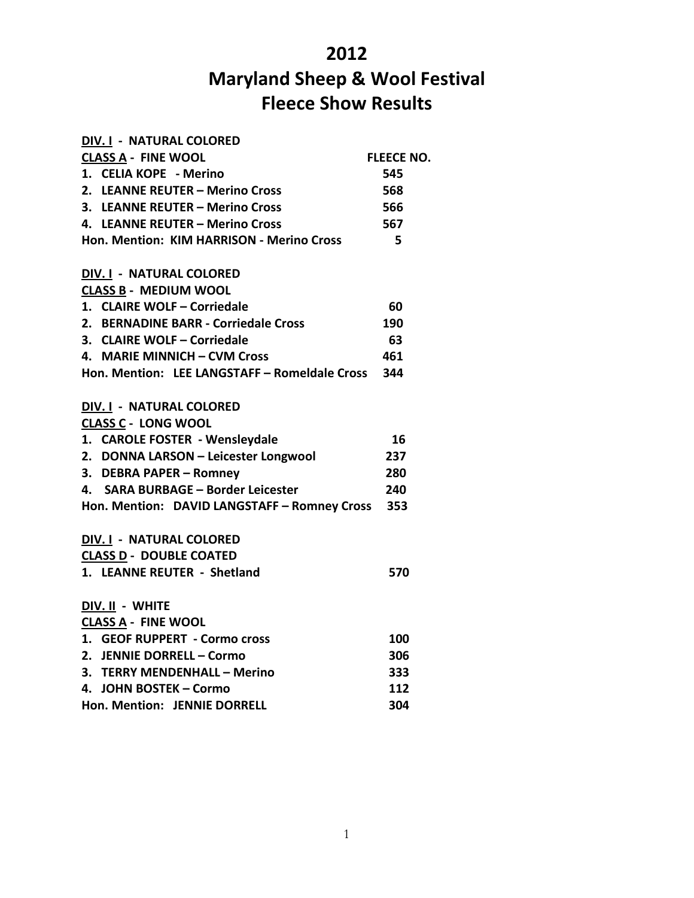## **2012**

## **Maryland Sheep & Wool Festival Fleece Show Results**

| DIV. I - NATURAL COLORED                          |                   |
|---------------------------------------------------|-------------------|
| <b>CLASS A - FINE WOOL</b>                        | <b>FLEECE NO.</b> |
| 1. CELIA KOPE - Merino                            | 545               |
| 2. LEANNE REUTER – Merino Cross                   | 568               |
| 3. LEANNE REUTER - Merino Cross                   | 566               |
| 4. LEANNE REUTER - Merino Cross                   | 567               |
| Hon. Mention: KIM HARRISON - Merino Cross         | - 5               |
| DIV. I - NATURAL COLORED                          |                   |
| <b>CLASS B - MEDIUM WOOL</b>                      |                   |
| 1. CLAIRE WOLF - Corriedale                       | 60                |
| 2. BERNADINE BARR - Corriedale Cross              | 190               |
| 3. CLAIRE WOLF - Corriedale                       | 63                |
| 4. MARIE MINNICH - CVM Cross                      | 461               |
| Hon. Mention: LEE LANGSTAFF - Romeldale Cross 344 |                   |
| DIV. I - NATURAL COLORED                          |                   |
| <b>CLASS C - LONG WOOL</b>                        |                   |
| 1. CAROLE FOSTER - Wensleydale                    | 16                |
| 2. DONNA LARSON - Leicester Longwool              | 237               |
| 3. DEBRA PAPER - Romney                           | 280               |
| 4. SARA BURBAGE - Border Leicester                | 240               |
| Hon. Mention: DAVID LANGSTAFF - Romney Cross 353  |                   |
| DIV. I - NATURAL COLORED                          |                   |
| <b>CLASS D - DOUBLE COATED</b>                    |                   |
| 1. LEANNE REUTER - Shetland                       | 570               |
| DIV. II - WHITE                                   |                   |
| <b>CLASS A - FINE WOOL</b>                        |                   |
| 1. GEOF RUPPERT - Cormo cross                     | 100               |
| 2. JENNIE DORRELL – Cormo                         | 306               |
| 3. TERRY MENDENHALL - Merino                      | 333               |
| 4. JOHN BOSTEK - Cormo                            | 112               |
| Hon. Mention: JENNIE DORRELL                      | 304               |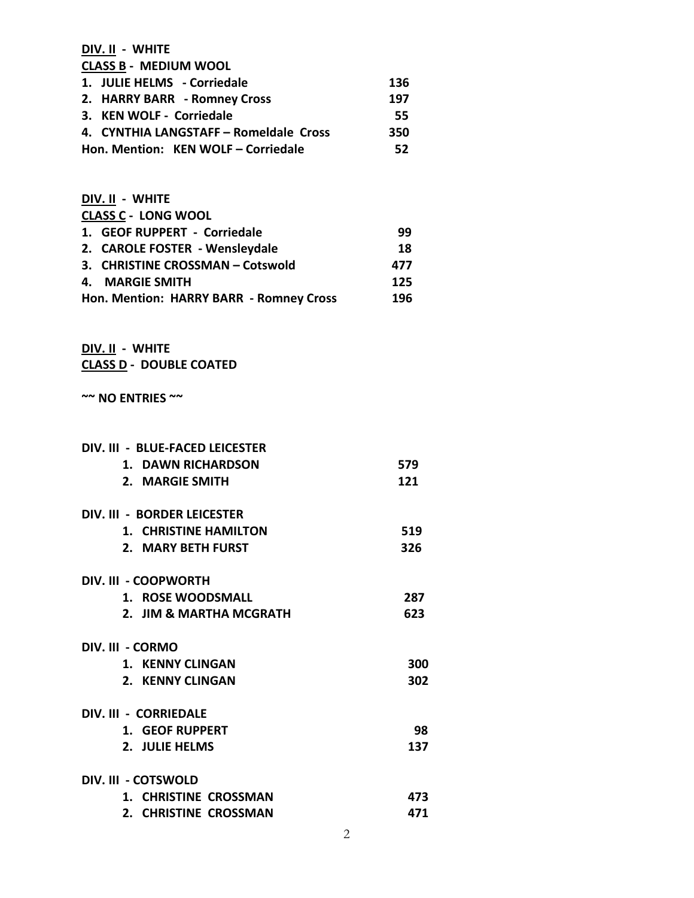**DIV. II - WHITE CLASS B - MEDIUM WOOL 1. JULIE HELMS - Corriedale 136 2. HARRY BARR - Romney Cross 197 3. KEN WOLF - Corriedale 55 4. CYNTHIA LANGSTAFF – Romeldale Cross 350 Hon. Mention: KEN WOLF – Corriedale 52**

| DIV. II - WHITE                         |     |
|-----------------------------------------|-----|
| <b>CLASS C - LONG WOOL</b>              |     |
| 1. GEOF RUPPERT - Corriedale            | 99  |
| 2. CAROLE FOSTER - Wensleydale          | 18  |
| 3. CHRISTINE CROSSMAN - Cotswold        | 477 |
| <b>MARGIE SMITH</b><br>4.               | 125 |
| Hon. Mention: HARRY BARR - Romney Cross | 196 |

**DIV. II - WHITE CLASS D - DOUBLE COATED**

**~~ NO ENTRIES ~~**

| DIV. III - BLUE-FACED LEICESTER |     |
|---------------------------------|-----|
| 1. DAWN RICHARDSON              | 579 |
| 2. MARGIE SMITH                 | 121 |
| DIV. III - BORDER LEICESTER     |     |
| 1. CHRISTINE HAMILTON           | 519 |
| 2. MARY BETH FURST              | 326 |
| DIV. III - COOPWORTH            |     |
| 1. ROSE WOODSMALL               | 287 |
| 2. JIM & MARTHA MCGRATH         | 623 |
| DIV. III - CORMO                |     |
| 1. KENNY CLINGAN                | 300 |
| 2. KENNY CLINGAN                | 302 |
| DIV. III - CORRIEDALE           |     |
| 1. GEOF RUPPERT                 | 98  |
| 2. JULIE HELMS                  | 137 |
| DIV. III - COTSWOLD             |     |
| <b>1. CHRISTINE CROSSMAN</b>    | 473 |
| 2. CHRISTINE CROSSMAN           | 471 |
|                                 |     |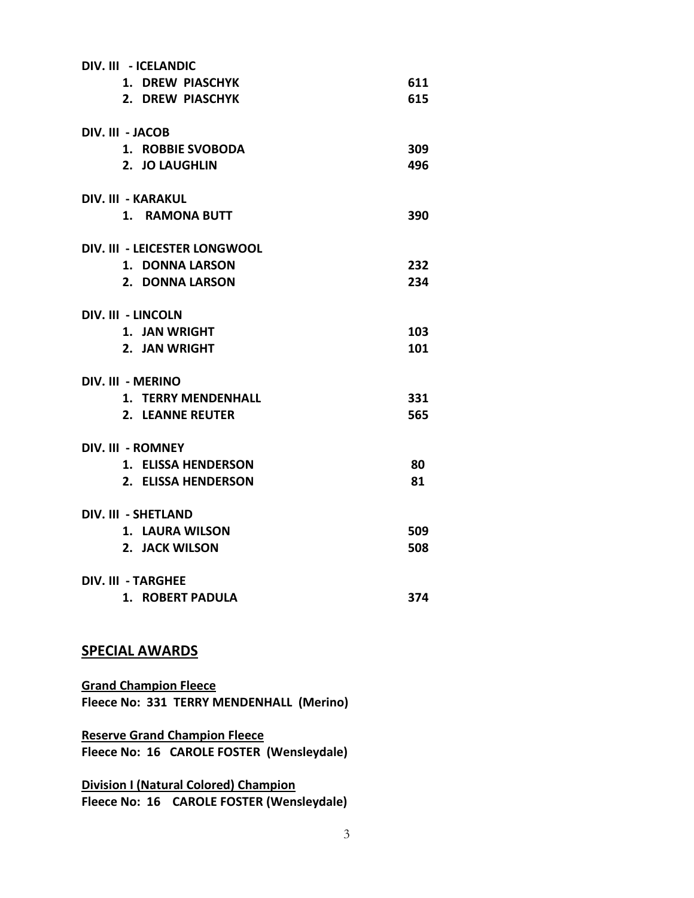| DIV. III - ICELANDIC          |     |
|-------------------------------|-----|
| 1. DREW PIASCHYK              | 611 |
| 2. DREW PIASCHYK              | 615 |
| DIV. III - JACOB              |     |
| 1. ROBBIE SVOBODA             | 309 |
| 2. JO LAUGHLIN                | 496 |
| <b>DIV. III - KARAKUL</b>     |     |
| 1. RAMONA BUTT                | 390 |
| DIV. III - LEICESTER LONGWOOL |     |
| 1. DONNA LARSON               | 232 |
| 2. DONNA LARSON               | 234 |
| <b>DIV. III - LINCOLN</b>     |     |
| 1. JAN WRIGHT                 | 103 |
| 2. JAN WRIGHT                 | 101 |
| DIV. III - MERINO             |     |
| 1. TERRY MENDENHALL           | 331 |
| 2. LEANNE REUTER              | 565 |
| DIV. III - ROMNEY             |     |
| 1. ELISSA HENDERSON           | 80  |
| 2. ELISSA HENDERSON           | 81  |
| <b>DIV. III - SHETLAND</b>    |     |
| 1. LAURA WILSON               | 509 |
| 2. JACK WILSON                | 508 |
| <b>DIV. III - TARGHEE</b>     |     |
| 1. ROBERT PADULA              | 374 |

## **SPECIAL AWARDS**

**Grand Champion Fleece Fleece No: 331 TERRY MENDENHALL (Merino)**

**Reserve Grand Champion Fleece Fleece No: 16 CAROLE FOSTER (Wensleydale)**

**Division I (Natural Colored) Champion Fleece No: 16 CAROLE FOSTER (Wensleydale)**